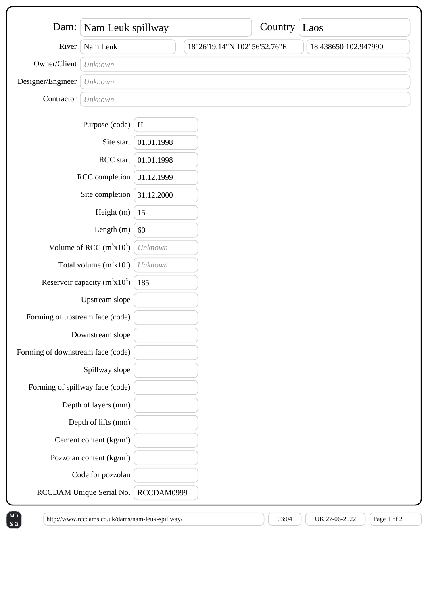| Dam:                              | Nam Leuk spillway               |              | Country Laos                 |  |                      |
|-----------------------------------|---------------------------------|--------------|------------------------------|--|----------------------|
| River                             | Nam Leuk                        |              | 18°26'19.14"N 102°56'52.76"E |  | 18.438650 102.947990 |
| Owner/Client                      | Unknown                         |              |                              |  |                      |
| Designer/Engineer                 | Unknown                         |              |                              |  |                      |
| Contractor                        | Unknown                         |              |                              |  |                      |
|                                   | Purpose (code)                  | $\, {\rm H}$ |                              |  |                      |
|                                   | Site start                      | 01.01.1998   |                              |  |                      |
| RCC start                         |                                 | 01.01.1998   |                              |  |                      |
| RCC completion                    |                                 | 31.12.1999   |                              |  |                      |
| Site completion                   |                                 | 31.12.2000   |                              |  |                      |
| Height (m)                        |                                 | 15           |                              |  |                      |
| Length $(m)$                      |                                 | 60           |                              |  |                      |
| Volume of RCC $(m^3x10^3)$        |                                 | Unknown      |                              |  |                      |
| Total volume $(m^3x10^3)$         |                                 | Unknown      |                              |  |                      |
| Reservoir capacity $(m^3x10^6)$   |                                 | 185          |                              |  |                      |
|                                   | Upstream slope                  |              |                              |  |                      |
| Forming of upstream face (code)   |                                 |              |                              |  |                      |
| Downstream slope                  |                                 |              |                              |  |                      |
| Forming of downstream face (code) |                                 |              |                              |  |                      |
|                                   | Spillway slope                  |              |                              |  |                      |
|                                   | Forming of spillway face (code) |              |                              |  |                      |
|                                   | Depth of layers (mm)            |              |                              |  |                      |
|                                   | Depth of lifts (mm)             |              |                              |  |                      |
|                                   | Cement content $(kg/m3)$        |              |                              |  |                      |
|                                   | Pozzolan content $(kg/m3)$      |              |                              |  |                      |
|                                   | Code for pozzolan               |              |                              |  |                      |
|                                   | RCCDAM Unique Serial No.        | RCCDAM0999   |                              |  |                      |

 $\&a$